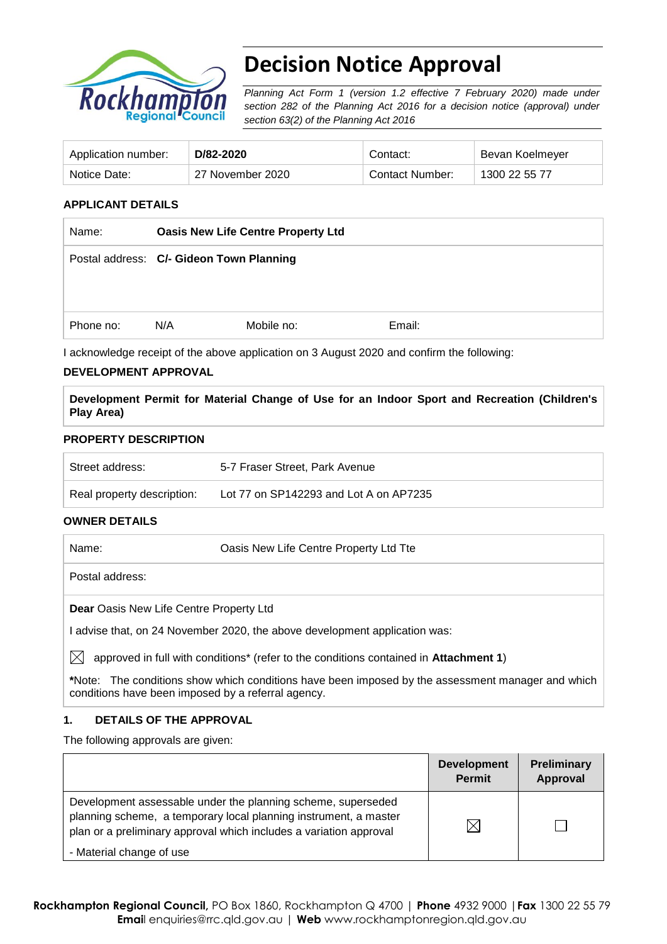

# **Decision Notice Approval**

*Planning Act Form 1 (version 1.2 effective 7 February 2020) made under section 282 of the Planning Act 2016 for a decision notice (approval) under section 63(2) of the Planning Act 2016*

| Application number: | D/82-2020        | Contact:        | Bevan Koelmeyer |
|---------------------|------------------|-----------------|-----------------|
| Notice Date:        | 27 November 2020 | Contact Number: | 1300 22 55 77   |

# **APPLICANT DETAILS**

| <b>Oasis New Life Centre Property Ltd</b> |            |                                          |
|-------------------------------------------|------------|------------------------------------------|
|                                           |            |                                          |
|                                           |            |                                          |
|                                           |            |                                          |
| N/A                                       | Mobile no: | Email:                                   |
|                                           |            | Postal address: C/- Gideon Town Planning |

I acknowledge receipt of the above application on 3 August 2020 and confirm the following:

## **DEVELOPMENT APPROVAL**

**Development Permit for Material Change of Use for an Indoor Sport and Recreation (Children's Play Area)**

## **PROPERTY DESCRIPTION**

| Street address:            | 5-7 Fraser Street, Park Avenue         |
|----------------------------|----------------------------------------|
| Real property description: | Lot 77 on SP142293 and Lot A on AP7235 |

# **OWNER DETAILS**

Name: Oasis New Life Centre Property Ltd Tte Postal address: **Dear** Oasis New Life Centre Property Ltd I advise that, on 24 November 2020, the above development application was:  $\boxtimes$  approved in full with conditions<sup>\*</sup> (refer to the conditions contained in **Attachment 1**)

**\***Note:The conditions show which conditions have been imposed by the assessment manager and which conditions have been imposed by a referral agency.

## **1. DETAILS OF THE APPROVAL**

The following approvals are given:

|                                                                                                                                                                                                        | <b>Development</b><br><b>Permit</b> | Preliminary<br>Approval |
|--------------------------------------------------------------------------------------------------------------------------------------------------------------------------------------------------------|-------------------------------------|-------------------------|
| Development assessable under the planning scheme, superseded<br>planning scheme, a temporary local planning instrument, a master<br>plan or a preliminary approval which includes a variation approval |                                     |                         |
| - Material change of use                                                                                                                                                                               |                                     |                         |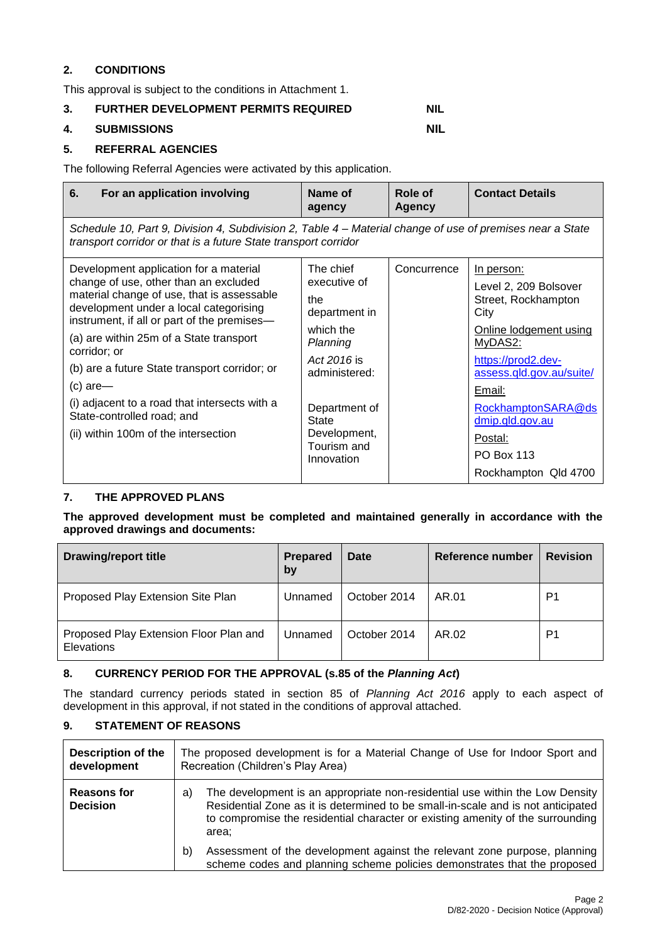# **2. CONDITIONS**

This approval is subject to the conditions in Attachment 1.

# **3. FURTHER DEVELOPMENT PERMITS REQUIRED NIL**

## **4. SUBMISSIONS NIL**

# **5. REFERRAL AGENCIES**

The following Referral Agencies were activated by this application.

| For an application involving<br>6.                                                                                                                                                                                                                                                                                                                                                                                                                                      | Name of<br>agency                                                                                                                                                                        | Role of<br><b>Agency</b> | <b>Contact Details</b>                                                                                                                                                                                                                                                      |  |  |
|-------------------------------------------------------------------------------------------------------------------------------------------------------------------------------------------------------------------------------------------------------------------------------------------------------------------------------------------------------------------------------------------------------------------------------------------------------------------------|------------------------------------------------------------------------------------------------------------------------------------------------------------------------------------------|--------------------------|-----------------------------------------------------------------------------------------------------------------------------------------------------------------------------------------------------------------------------------------------------------------------------|--|--|
| Schedule 10, Part 9, Division 4, Subdivision 2, Table 4 – Material change of use of premises near a State<br>transport corridor or that is a future State transport corridor                                                                                                                                                                                                                                                                                            |                                                                                                                                                                                          |                          |                                                                                                                                                                                                                                                                             |  |  |
| Development application for a material<br>change of use, other than an excluded<br>material change of use, that is assessable<br>development under a local categorising<br>instrument, if all or part of the premises-<br>(a) are within 25m of a State transport<br>corridor; or<br>(b) are a future State transport corridor; or<br>$(c)$ are-<br>(i) adjacent to a road that intersects with a<br>State-controlled road; and<br>(ii) within 100m of the intersection | The chief<br>executive of<br>the<br>department in<br>which the<br>Planning<br>Act 2016 is<br>administered:<br>Department of<br><b>State</b><br>Development,<br>Tourism and<br>Innovation | Concurrence              | <u>In person:</u><br>Level 2, 209 Bolsover<br>Street, Rockhampton<br>City<br>Online lodgement using<br>MyDAS2:<br>https://prod2.dev-<br>assess.qld.gov.au/suite/<br>Email:<br>RockhamptonSARA@ds<br>dmip.qld.gov.au<br>Postal:<br><b>PO Box 113</b><br>Rockhampton Qld 4700 |  |  |

# **7. THE APPROVED PLANS**

**The approved development must be completed and maintained generally in accordance with the approved drawings and documents:**

| <b>Drawing/report title</b>                          | <b>Prepared</b><br>by | Date         | Reference number | <b>Revision</b> |
|------------------------------------------------------|-----------------------|--------------|------------------|-----------------|
| Proposed Play Extension Site Plan                    | Unnamed               | October 2014 | AR.01            | P1              |
| Proposed Play Extension Floor Plan and<br>Elevations | Unnamed               | October 2014 | AR.02            | P1              |

## **8. CURRENCY PERIOD FOR THE APPROVAL (s.85 of the** *Planning Act***)**

The standard currency periods stated in section 85 of *Planning Act 2016* apply to each aspect of development in this approval, if not stated in the conditions of approval attached.

# **9. STATEMENT OF REASONS**

| <b>Description of the</b><br>development | The proposed development is for a Material Change of Use for Indoor Sport and<br>Recreation (Children's Play Area)                                                                                                                                                |  |  |
|------------------------------------------|-------------------------------------------------------------------------------------------------------------------------------------------------------------------------------------------------------------------------------------------------------------------|--|--|
| <b>Reasons for</b><br><b>Decision</b>    | The development is an appropriate non-residential use within the Low Density<br>a)<br>Residential Zone as it is determined to be small-in-scale and is not anticipated<br>to compromise the residential character or existing amenity of the surrounding<br>area: |  |  |
|                                          | Assessment of the development against the relevant zone purpose, planning<br>b)<br>scheme codes and planning scheme policies demonstrates that the proposed                                                                                                       |  |  |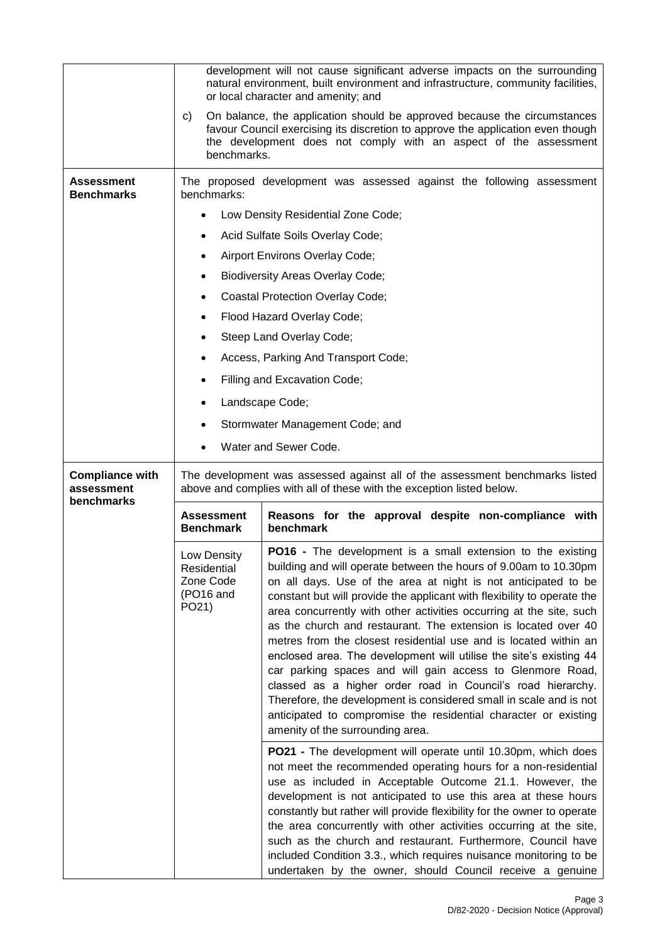|                                      |                                                                                                                                                       | development will not cause significant adverse impacts on the surrounding<br>natural environment, built environment and infrastructure, community facilities,<br>or local character and amenity; and                                                                                                                                                                                                                                                                                                                                                                                                                                                                                                                                                                                                                                                                            |  |
|--------------------------------------|-------------------------------------------------------------------------------------------------------------------------------------------------------|---------------------------------------------------------------------------------------------------------------------------------------------------------------------------------------------------------------------------------------------------------------------------------------------------------------------------------------------------------------------------------------------------------------------------------------------------------------------------------------------------------------------------------------------------------------------------------------------------------------------------------------------------------------------------------------------------------------------------------------------------------------------------------------------------------------------------------------------------------------------------------|--|
|                                      | C)<br>benchmarks.                                                                                                                                     | On balance, the application should be approved because the circumstances<br>favour Council exercising its discretion to approve the application even though<br>the development does not comply with an aspect of the assessment                                                                                                                                                                                                                                                                                                                                                                                                                                                                                                                                                                                                                                                 |  |
| Assessment<br><b>Benchmarks</b>      | benchmarks:                                                                                                                                           | The proposed development was assessed against the following assessment                                                                                                                                                                                                                                                                                                                                                                                                                                                                                                                                                                                                                                                                                                                                                                                                          |  |
|                                      |                                                                                                                                                       | Low Density Residential Zone Code;                                                                                                                                                                                                                                                                                                                                                                                                                                                                                                                                                                                                                                                                                                                                                                                                                                              |  |
|                                      | ٠                                                                                                                                                     | Acid Sulfate Soils Overlay Code;                                                                                                                                                                                                                                                                                                                                                                                                                                                                                                                                                                                                                                                                                                                                                                                                                                                |  |
|                                      | ٠                                                                                                                                                     | Airport Environs Overlay Code;                                                                                                                                                                                                                                                                                                                                                                                                                                                                                                                                                                                                                                                                                                                                                                                                                                                  |  |
|                                      |                                                                                                                                                       | <b>Biodiversity Areas Overlay Code;</b>                                                                                                                                                                                                                                                                                                                                                                                                                                                                                                                                                                                                                                                                                                                                                                                                                                         |  |
|                                      |                                                                                                                                                       | <b>Coastal Protection Overlay Code;</b>                                                                                                                                                                                                                                                                                                                                                                                                                                                                                                                                                                                                                                                                                                                                                                                                                                         |  |
|                                      | ٠                                                                                                                                                     | Flood Hazard Overlay Code;                                                                                                                                                                                                                                                                                                                                                                                                                                                                                                                                                                                                                                                                                                                                                                                                                                                      |  |
|                                      | ٠                                                                                                                                                     | Steep Land Overlay Code;                                                                                                                                                                                                                                                                                                                                                                                                                                                                                                                                                                                                                                                                                                                                                                                                                                                        |  |
|                                      | ٠                                                                                                                                                     | Access, Parking And Transport Code;                                                                                                                                                                                                                                                                                                                                                                                                                                                                                                                                                                                                                                                                                                                                                                                                                                             |  |
|                                      |                                                                                                                                                       | Filling and Excavation Code;                                                                                                                                                                                                                                                                                                                                                                                                                                                                                                                                                                                                                                                                                                                                                                                                                                                    |  |
|                                      |                                                                                                                                                       | Landscape Code;                                                                                                                                                                                                                                                                                                                                                                                                                                                                                                                                                                                                                                                                                                                                                                                                                                                                 |  |
|                                      | ٠                                                                                                                                                     | Stormwater Management Code; and                                                                                                                                                                                                                                                                                                                                                                                                                                                                                                                                                                                                                                                                                                                                                                                                                                                 |  |
|                                      |                                                                                                                                                       | Water and Sewer Code.                                                                                                                                                                                                                                                                                                                                                                                                                                                                                                                                                                                                                                                                                                                                                                                                                                                           |  |
|                                      |                                                                                                                                                       |                                                                                                                                                                                                                                                                                                                                                                                                                                                                                                                                                                                                                                                                                                                                                                                                                                                                                 |  |
|                                      | The development was assessed against all of the assessment benchmarks listed<br>above and complies with all of these with the exception listed below. |                                                                                                                                                                                                                                                                                                                                                                                                                                                                                                                                                                                                                                                                                                                                                                                                                                                                                 |  |
| <b>Compliance with</b><br>assessment |                                                                                                                                                       |                                                                                                                                                                                                                                                                                                                                                                                                                                                                                                                                                                                                                                                                                                                                                                                                                                                                                 |  |
| benchmarks                           | <b>Assessment</b><br><b>Benchmark</b>                                                                                                                 | Reasons for the approval despite non-compliance with<br>benchmark                                                                                                                                                                                                                                                                                                                                                                                                                                                                                                                                                                                                                                                                                                                                                                                                               |  |
|                                      | Low Density<br>Residential<br>Zone Code<br>(PO16 and<br>PO21)                                                                                         | <b>PO16</b> - The development is a small extension to the existing<br>building and will operate between the hours of 9.00am to 10.30pm<br>on all days. Use of the area at night is not anticipated to be<br>constant but will provide the applicant with flexibility to operate the<br>area concurrently with other activities occurring at the site, such<br>as the church and restaurant. The extension is located over 40<br>metres from the closest residential use and is located within an<br>enclosed area. The development will utilise the site's existing 44<br>car parking spaces and will gain access to Glenmore Road,<br>classed as a higher order road in Council's road hierarchy.<br>Therefore, the development is considered small in scale and is not<br>anticipated to compromise the residential character or existing<br>amenity of the surrounding area. |  |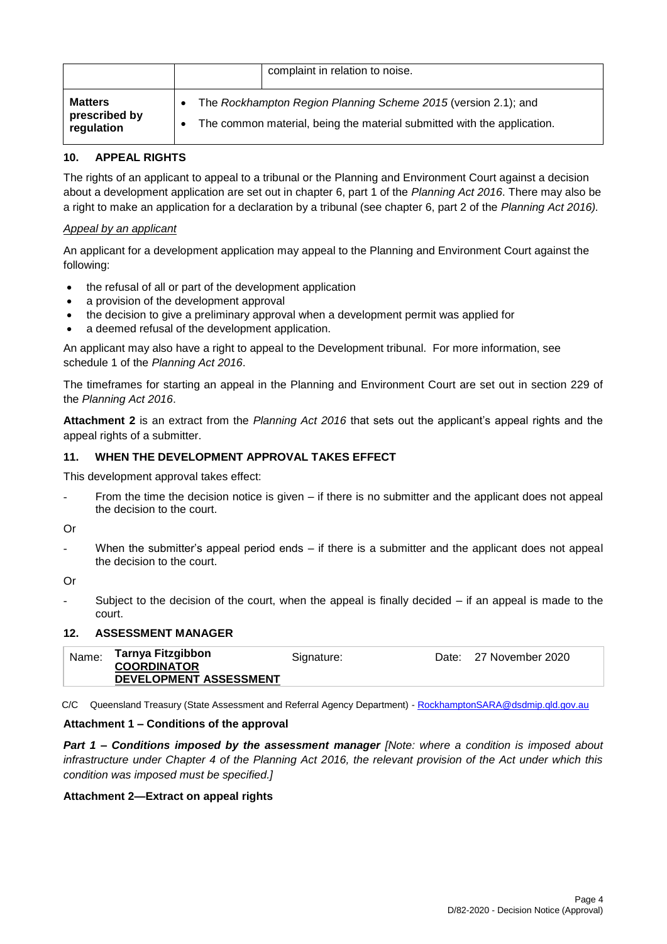|                                               | complaint in relation to noise.                                                                                                           |
|-----------------------------------------------|-------------------------------------------------------------------------------------------------------------------------------------------|
| <b>Matters</b><br>prescribed by<br>regulation | The Rockhampton Region Planning Scheme 2015 (version 2.1); and<br>The common material, being the material submitted with the application. |

# **10. APPEAL RIGHTS**

The rights of an applicant to appeal to a tribunal or the Planning and Environment Court against a decision about a development application are set out in chapter 6, part 1 of the *Planning Act 2016*. There may also be a right to make an application for a declaration by a tribunal (see chapter 6, part 2 of the *Planning Act 2016).*

# *Appeal by an applicant*

An applicant for a development application may appeal to the Planning and Environment Court against the following:

- the refusal of all or part of the development application
- a provision of the development approval
- the decision to give a preliminary approval when a development permit was applied for
- a deemed refusal of the development application.

An applicant may also have a right to appeal to the Development tribunal. For more information, see schedule 1 of the *Planning Act 2016*.

The timeframes for starting an appeal in the Planning and Environment Court are set out in section 229 of the *Planning Act 2016*.

**Attachment 2** is an extract from the *Planning Act 2016* that sets out the applicant's appeal rights and the appeal rights of a submitter.

# **11. WHEN THE DEVELOPMENT APPROVAL TAKES EFFECT**

This development approval takes effect:

- From the time the decision notice is given  $-$  if there is no submitter and the applicant does not appeal the decision to the court.
- Or
	- When the submitter's appeal period ends  $-$  if there is a submitter and the applicant does not appeal the decision to the court.

Or

Subject to the decision of the court, when the appeal is finally decided  $-$  if an appeal is made to the court.

## **12. ASSESSMENT MANAGER**

| Signature:<br><b>COORDINATOR</b><br>DEVELOPMENT ASSESSMENT |
|------------------------------------------------------------|
|------------------------------------------------------------|

C/C Queensland Treasury (State Assessment and Referral Agency Department) - [RockhamptonSARA@dsdmip.qld.gov.au](mailto:RockhamptonSARA@dsdmip.qld.gov.au)

## **Attachment 1 – Conditions of the approval**

*Part 1* **–** *Conditions imposed by the assessment manager [Note: where a condition is imposed about infrastructure under Chapter 4 of the Planning Act 2016, the relevant provision of the Act under which this condition was imposed must be specified.]*

## **Attachment 2—Extract on appeal rights**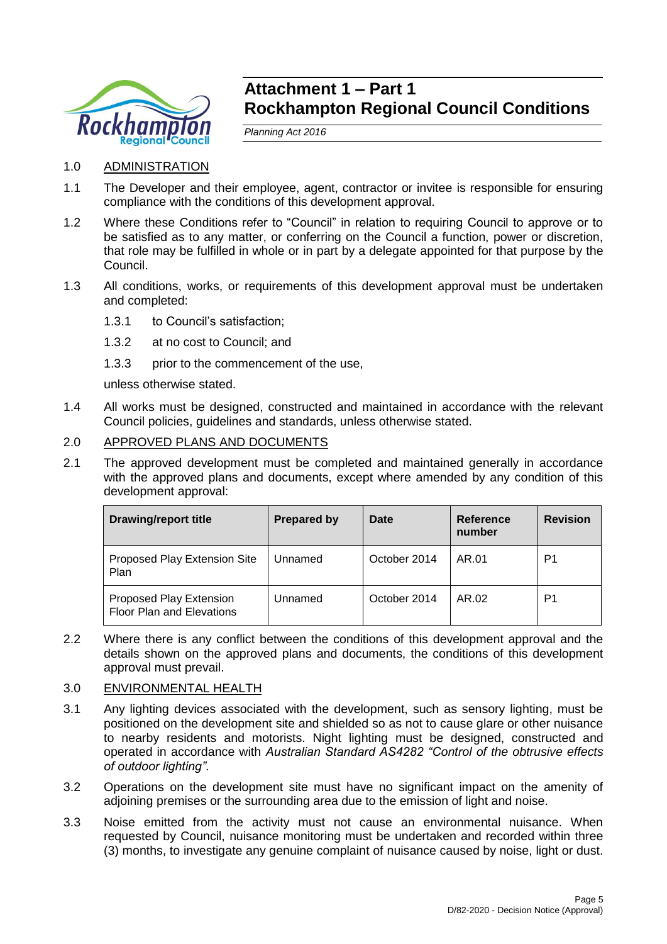

# **Attachment 1 – Part 1 Rockhampton Regional Council Conditions**

*Planning Act 2016*

- 1.0 ADMINISTRATION
- 1.1 The Developer and their employee, agent, contractor or invitee is responsible for ensuring compliance with the conditions of this development approval.
- 1.2 Where these Conditions refer to "Council" in relation to requiring Council to approve or to be satisfied as to any matter, or conferring on the Council a function, power or discretion, that role may be fulfilled in whole or in part by a delegate appointed for that purpose by the Council.
- 1.3 All conditions, works, or requirements of this development approval must be undertaken and completed:
	- 1.3.1 to Council's satisfaction;
	- 1.3.2 at no cost to Council; and
	- 1.3.3 prior to the commencement of the use.

unless otherwise stated.

1.4 All works must be designed, constructed and maintained in accordance with the relevant Council policies, guidelines and standards, unless otherwise stated.

# 2.0 APPROVED PLANS AND DOCUMENTS

2.1 The approved development must be completed and maintained generally in accordance with the approved plans and documents, except where amended by any condition of this development approval:

| <b>Drawing/report title</b>                                 | <b>Prepared by</b> | Date         | Reference<br>number | <b>Revision</b> |
|-------------------------------------------------------------|--------------------|--------------|---------------------|-----------------|
| Proposed Play Extension Site<br>Plan                        | Unnamed            | October 2014 | AR.01               | P1              |
| Proposed Play Extension<br><b>Floor Plan and Elevations</b> | Unnamed            | October 2014 | AR.02               | P1              |

2.2 Where there is any conflict between the conditions of this development approval and the details shown on the approved plans and documents, the conditions of this development approval must prevail.

## 3.0 ENVIRONMENTAL HEALTH

- 3.1 Any lighting devices associated with the development, such as sensory lighting, must be positioned on the development site and shielded so as not to cause glare or other nuisance to nearby residents and motorists. Night lighting must be designed, constructed and operated in accordance with *Australian Standard AS4282 "Control of the obtrusive effects of outdoor lighting"*.
- 3.2 Operations on the development site must have no significant impact on the amenity of adjoining premises or the surrounding area due to the emission of light and noise.
- 3.3 Noise emitted from the activity must not cause an environmental nuisance. When requested by Council, nuisance monitoring must be undertaken and recorded within three (3) months, to investigate any genuine complaint of nuisance caused by noise, light or dust.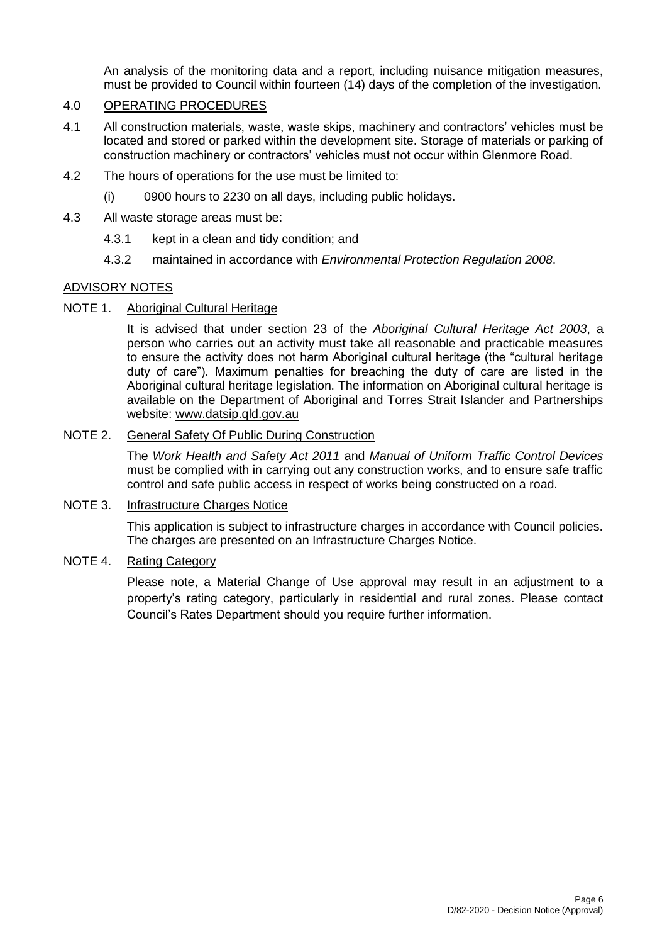An analysis of the monitoring data and a report, including nuisance mitigation measures, must be provided to Council within fourteen (14) days of the completion of the investigation.

# 4.0 OPERATING PROCEDURES

- 4.1 All construction materials, waste, waste skips, machinery and contractors' vehicles must be located and stored or parked within the development site. Storage of materials or parking of construction machinery or contractors' vehicles must not occur within Glenmore Road.
- 4.2 The hours of operations for the use must be limited to:
	- (i) 0900 hours to 2230 on all days, including public holidays.
- 4.3 All waste storage areas must be:
	- 4.3.1 kept in a clean and tidy condition; and
	- 4.3.2 maintained in accordance with *Environmental Protection Regulation 2008*.

# ADVISORY NOTES

# NOTE 1. Aboriginal Cultural Heritage

It is advised that under section 23 of the *Aboriginal Cultural Heritage Act 2003*, a person who carries out an activity must take all reasonable and practicable measures to ensure the activity does not harm Aboriginal cultural heritage (the "cultural heritage duty of care"). Maximum penalties for breaching the duty of care are listed in the Aboriginal cultural heritage legislation. The information on Aboriginal cultural heritage is available on the Department of Aboriginal and Torres Strait Islander and Partnerships website: [www.datsip.qld.gov.au](http://www.datsip.qld.gov.au/)

# NOTE 2. General Safety Of Public During Construction

The *Work Health and Safety Act 2011* and *Manual of Uniform Traffic Control Devices* must be complied with in carrying out any construction works, and to ensure safe traffic control and safe public access in respect of works being constructed on a road.

## NOTE 3. Infrastructure Charges Notice

This application is subject to infrastructure charges in accordance with Council policies. The charges are presented on an Infrastructure Charges Notice.

# NOTE 4. Rating Category

Please note, a Material Change of Use approval may result in an adjustment to a property's rating category, particularly in residential and rural zones. Please contact Council's Rates Department should you require further information.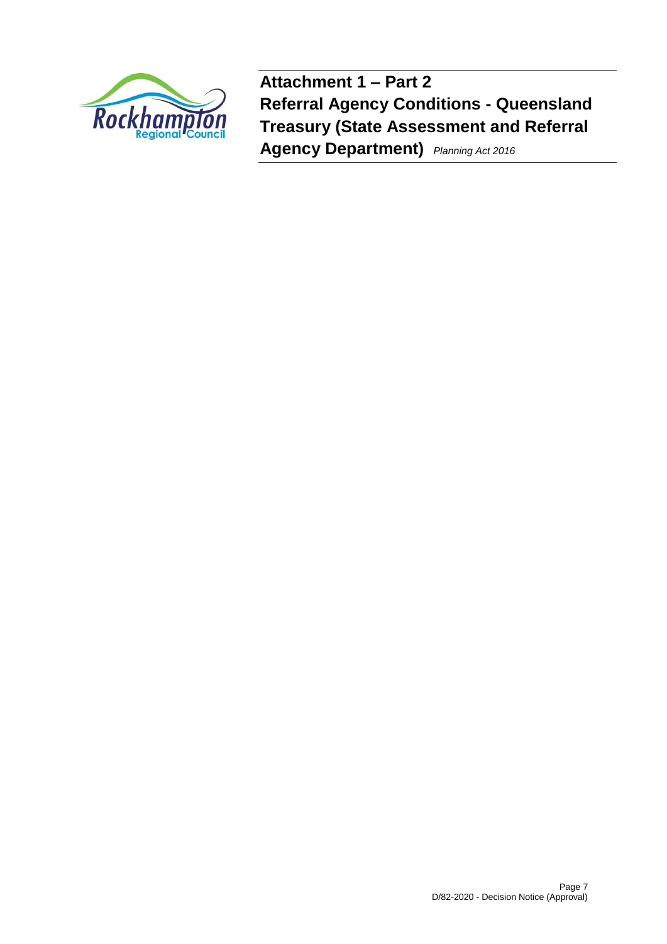

**Attachment 1 – Part 2 Referral Agency Conditions - Queensland Treasury (State Assessment and Referral Agency Department)** *Planning Act 2016*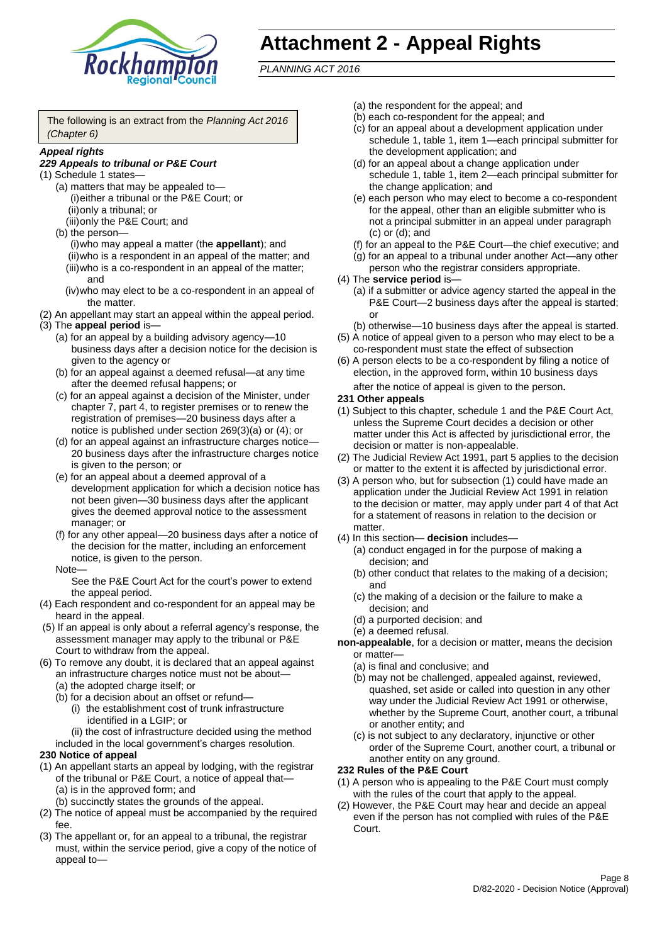

# **Attachment 2 - Appeal Rights**

*PLANNING ACT 2016*

The following is an extract from the *Planning Act 2016 (Chapter 6)*

#### *Appeal rights*

# *229 Appeals to tribunal or P&E Court*

- (1) Schedule 1 states—
	- (a) matters that may be appealed to— (i)either a tribunal or the P&E Court; or (ii)only a tribunal; or
	- (iii)only the P&E Court; and (b) the person—
		- (i)who may appeal a matter (the **appellant**); and (ii)who is a respondent in an appeal of the matter; and (iii)who is a co-respondent in an appeal of the matter; and
		- (iv)who may elect to be a co-respondent in an appeal of the matter.
- (2) An appellant may start an appeal within the appeal period.
- (3) The **appeal period** is—
	- (a) for an appeal by a building advisory agency—10 business days after a decision notice for the decision is given to the agency or
	- (b) for an appeal against a deemed refusal—at any time after the deemed refusal happens; or
	- (c) for an appeal against a decision of the Minister, under chapter 7, part 4, to register premises or to renew the registration of premises—20 business days after a notice is published under section 269(3)(a) or (4); or
	- (d) for an appeal against an infrastructure charges notice— 20 business days after the infrastructure charges notice is given to the person; or
	- (e) for an appeal about a deemed approval of a development application for which a decision notice has not been given—30 business days after the applicant gives the deemed approval notice to the assessment manager; or
	- (f) for any other appeal—20 business days after a notice of the decision for the matter, including an enforcement notice, is given to the person.

#### Note—

See the P&E Court Act for the court's power to extend the appeal period.

- (4) Each respondent and co-respondent for an appeal may be heard in the appeal.
- (5) If an appeal is only about a referral agency's response, the assessment manager may apply to the tribunal or P&E Court to withdraw from the appeal.
- (6) To remove any doubt, it is declared that an appeal against an infrastructure charges notice must not be about—
	- (a) the adopted charge itself; or
	- (b) for a decision about an offset or refund—
		- (i) the establishment cost of trunk infrastructure identified in a LGIP; or
		- (ii) the cost of infrastructure decided using the method

#### included in the local government's charges resolution. **230 Notice of appeal**

- (1) An appellant starts an appeal by lodging, with the registrar of the tribunal or P&E Court, a notice of appeal that—
	- (a) is in the approved form; and
	- (b) succinctly states the grounds of the appeal.
- (2) The notice of appeal must be accompanied by the required fee.
- (3) The appellant or, for an appeal to a tribunal, the registrar must, within the service period, give a copy of the notice of appeal to—
- (a) the respondent for the appeal; and
- (b) each co-respondent for the appeal; and
- (c) for an appeal about a development application under schedule 1, table 1, item 1—each principal submitter for the development application; and
- (d) for an appeal about a change application under schedule 1, table 1, item 2—each principal submitter for the change application; and
- (e) each person who may elect to become a co-respondent for the appeal, other than an eligible submitter who is not a principal submitter in an appeal under paragraph (c) or (d); and
- (f) for an appeal to the P&E Court—the chief executive; and
- (g) for an appeal to a tribunal under another Act—any other person who the registrar considers appropriate.
- (4) The **service period** is—
	- (a) if a submitter or advice agency started the appeal in the P&E Court—2 business days after the appeal is started; or
	- (b) otherwise—10 business days after the appeal is started.
- (5) A notice of appeal given to a person who may elect to be a co-respondent must state the effect of subsection
- (6) A person elects to be a co-respondent by filing a notice of election, in the approved form, within 10 business days after the notice of appeal is given to the person*.*
- **231 Other appeals**
- (1) Subject to this chapter, schedule 1 and the P&E Court Act, unless the Supreme Court decides a decision or other matter under this Act is affected by jurisdictional error, the decision or matter is non-appealable.
- (2) The Judicial Review Act 1991, part 5 applies to the decision or matter to the extent it is affected by jurisdictional error.
- (3) A person who, but for subsection (1) could have made an application under the Judicial Review Act 1991 in relation to the decision or matter, may apply under part 4 of that Act for a statement of reasons in relation to the decision or matter.
- (4) In this section— **decision** includes—
	- (a) conduct engaged in for the purpose of making a decision; and
	- (b) other conduct that relates to the making of a decision; and
	- (c) the making of a decision or the failure to make a decision; and
	- (d) a purported decision; and
	- (e) a deemed refusal.

**non-appealable**, for a decision or matter, means the decision or matter—

- (a) is final and conclusive; and
- (b) may not be challenged, appealed against, reviewed, quashed, set aside or called into question in any other way under the Judicial Review Act 1991 or otherwise, whether by the Supreme Court, another court, a tribunal or another entity; and
- (c) is not subject to any declaratory, injunctive or other order of the Supreme Court, another court, a tribunal or another entity on any ground.

#### **232 Rules of the P&E Court**

- (1) A person who is appealing to the P&E Court must comply with the rules of the court that apply to the appeal.
- (2) However, the P&E Court may hear and decide an appeal even if the person has not complied with rules of the P&E Court.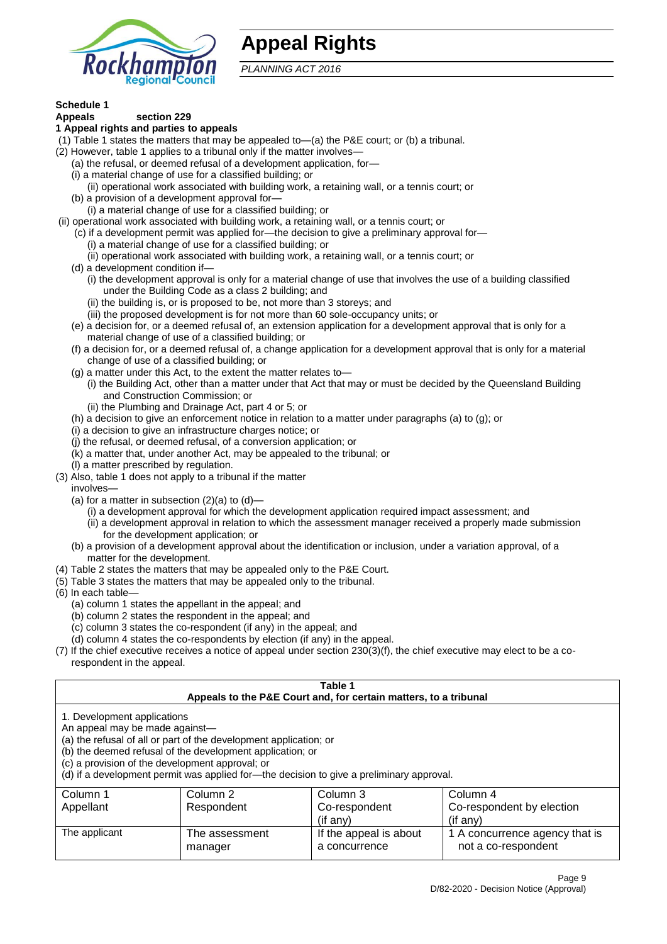

# **Appeal Rights**

*PLANNING ACT 2016*

# **Schedule 1**

#### **Appeals section 229 1 Appeal rights and parties to appeals**

- (1) Table 1 states the matters that may be appealed to—(a) the P&E court; or (b) a tribunal.
- (2) However, table 1 applies to a tribunal only if the matter involves—
	- (a) the refusal, or deemed refusal of a development application, for—
	- (i) a material change of use for a classified building; or
	- (ii) operational work associated with building work, a retaining wall, or a tennis court; or
	- (b) a provision of a development approval for—
	- (i) a material change of use for a classified building; or
- (ii) operational work associated with building work, a retaining wall, or a tennis court; or
	- (c) if a development permit was applied for—the decision to give a preliminary approval for—
		- (i) a material change of use for a classified building; or
	- (ii) operational work associated with building work, a retaining wall, or a tennis court; or
	- (d) a development condition if—
		- (i) the development approval is only for a material change of use that involves the use of a building classified under the Building Code as a class 2 building; and
		- (ii) the building is, or is proposed to be, not more than 3 storeys; and
		- (iii) the proposed development is for not more than 60 sole-occupancy units; or
	- (e) a decision for, or a deemed refusal of, an extension application for a development approval that is only for a material change of use of a classified building; or
	- (f) a decision for, or a deemed refusal of, a change application for a development approval that is only for a material change of use of a classified building; or
	- (g) a matter under this Act, to the extent the matter relates to—
		- (i) the Building Act, other than a matter under that Act that may or must be decided by the Queensland Building and Construction Commission; or
		- (ii) the Plumbing and Drainage Act, part 4 or 5; or
	- (h) a decision to give an enforcement notice in relation to a matter under paragraphs (a) to (g); or
	- (i) a decision to give an infrastructure charges notice; or
	- (j) the refusal, or deemed refusal, of a conversion application; or
	- (k) a matter that, under another Act, may be appealed to the tribunal; or
	- (l) a matter prescribed by regulation.
- (3) Also, table 1 does not apply to a tribunal if the matter

involves—

- (a) for a matter in subsection  $(2)(a)$  to  $(d)$ 
	- (i) a development approval for which the development application required impact assessment; and
	- (ii) a development approval in relation to which the assessment manager received a properly made submission for the development application; or
- (b) a provision of a development approval about the identification or inclusion, under a variation approval, of a matter for the development.
- (4) Table 2 states the matters that may be appealed only to the P&E Court.
- (5) Table 3 states the matters that may be appealed only to the tribunal.
- (6) In each table—
	- (a) column 1 states the appellant in the appeal; and
	- (b) column 2 states the respondent in the appeal; and
	- (c) column 3 states the co-respondent (if any) in the appeal; and
	- (d) column 4 states the co-respondents by election (if any) in the appeal.
- (7) If the chief executive receives a notice of appeal under section 230(3)(f), the chief executive may elect to be a corespondent in the appeal.

| Table 1<br>Appeals to the P&E Court and, for certain matters, to a tribunal                                                                                                                                                                                                                                                                    |                           |                                                     |                                                                     |  |  |
|------------------------------------------------------------------------------------------------------------------------------------------------------------------------------------------------------------------------------------------------------------------------------------------------------------------------------------------------|---------------------------|-----------------------------------------------------|---------------------------------------------------------------------|--|--|
| 1. Development applications<br>An appeal may be made against-<br>(a) the refusal of all or part of the development application; or<br>(b) the deemed refusal of the development application; or<br>(c) a provision of the development approval; or<br>(d) if a development permit was applied for—the decision to give a preliminary approval. |                           |                                                     |                                                                     |  |  |
| Column 1<br>Appellant                                                                                                                                                                                                                                                                                                                          | Column 2<br>Respondent    | Column 3<br>Co-respondent                           | Column 4<br>Co-respondent by election                               |  |  |
| The applicant                                                                                                                                                                                                                                                                                                                                  | The assessment<br>manager | (if any)<br>If the appeal is about<br>a concurrence | $(if$ any)<br>1 A concurrence agency that is<br>not a co-respondent |  |  |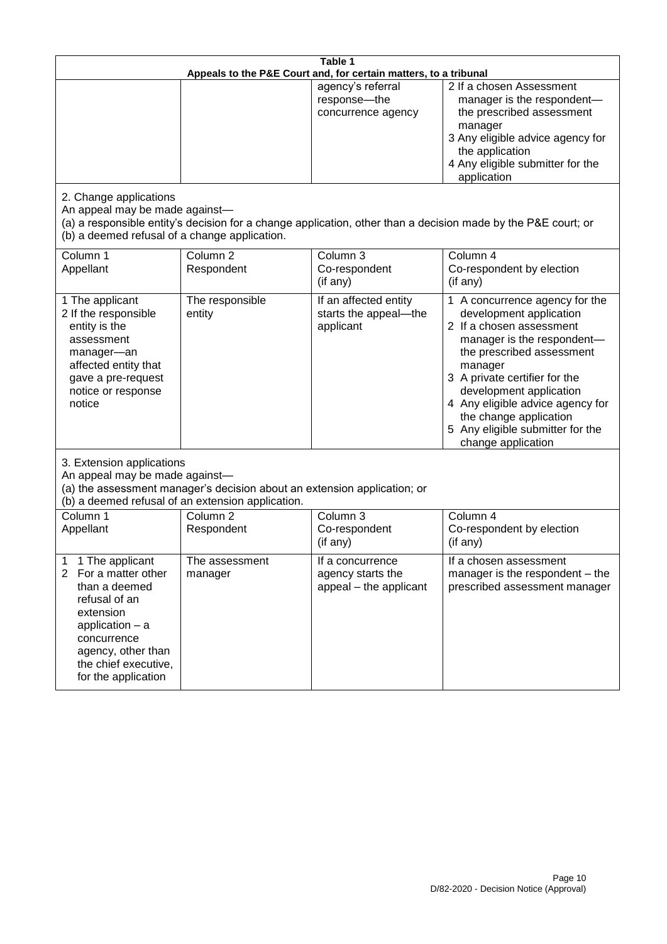| Table 1<br>Appeals to the P&E Court and, for certain matters, to a tribunal                                                                                                                                          |                                   |                                                                 |                                                                                                                                                                                                                                                                                                                                                 |  |
|----------------------------------------------------------------------------------------------------------------------------------------------------------------------------------------------------------------------|-----------------------------------|-----------------------------------------------------------------|-------------------------------------------------------------------------------------------------------------------------------------------------------------------------------------------------------------------------------------------------------------------------------------------------------------------------------------------------|--|
|                                                                                                                                                                                                                      |                                   | agency's referral<br>response-the<br>concurrence agency         | 2 If a chosen Assessment<br>manager is the respondent-<br>the prescribed assessment<br>manager<br>3 Any eligible advice agency for<br>the application<br>4 Any eligible submitter for the<br>application                                                                                                                                        |  |
| 2. Change applications<br>An appeal may be made against-<br>(b) a deemed refusal of a change application.                                                                                                            |                                   |                                                                 | (a) a responsible entity's decision for a change application, other than a decision made by the P&E court; or                                                                                                                                                                                                                                   |  |
| Column 1<br>Appellant                                                                                                                                                                                                | Column <sub>2</sub><br>Respondent | Column 3<br>Co-respondent<br>(if any)                           | Column 4<br>Co-respondent by election<br>(if any)                                                                                                                                                                                                                                                                                               |  |
| 1 The applicant<br>2 If the responsible<br>entity is the<br>assessment<br>manager-an<br>affected entity that<br>gave a pre-request<br>notice or response<br>notice                                                   | The responsible<br>entity         | If an affected entity<br>starts the appeal-the<br>applicant     | 1 A concurrence agency for the<br>development application<br>2 If a chosen assessment<br>manager is the respondent-<br>the prescribed assessment<br>manager<br>3 A private certifier for the<br>development application<br>4 Any eligible advice agency for<br>the change application<br>5 Any eligible submitter for the<br>change application |  |
| 3. Extension applications<br>An appeal may be made against-<br>(a) the assessment manager's decision about an extension application; or<br>(b) a deemed refusal of an extension application.                         |                                   |                                                                 |                                                                                                                                                                                                                                                                                                                                                 |  |
| Column 1<br>Appellant                                                                                                                                                                                                | Column <sub>2</sub><br>Respondent | Column 3<br>Co-respondent<br>(if any)                           | Column 4<br>Co-respondent by election<br>(if any)                                                                                                                                                                                                                                                                                               |  |
| 1 The applicant<br>1<br>$\overline{2}$<br>For a matter other<br>than a deemed<br>refusal of an<br>extension<br>application $-$ a<br>concurrence<br>agency, other than<br>the chief executive,<br>for the application | The assessment<br>manager         | If a concurrence<br>agency starts the<br>appeal - the applicant | If a chosen assessment<br>manager is the respondent – the<br>prescribed assessment manager                                                                                                                                                                                                                                                      |  |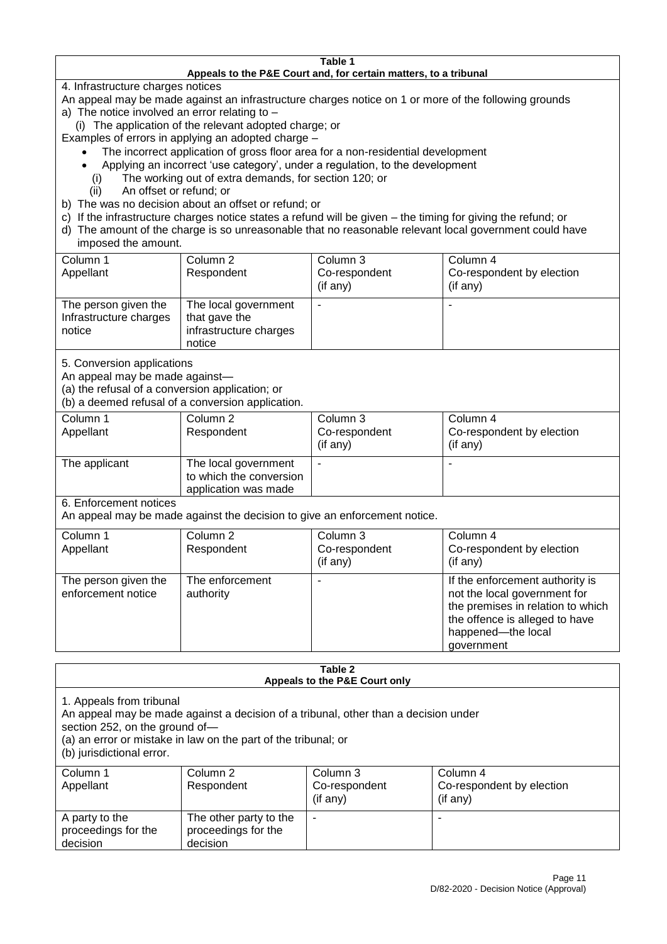#### **Table 1 Appeals to the P&E Court and, for certain matters, to a tribunal**

4. Infrastructure charges notices

- An appeal may be made against an infrastructure charges notice on 1 or more of the following grounds
- a) The notice involved an error relating to
	- (i) The application of the relevant adopted charge; or
- Examples of errors in applying an adopted charge
	- The incorrect application of gross floor area for a non-residential development
	- Applying an incorrect 'use category', under a regulation, to the development
	- (i) The working out of extra demands, for section 120; or
	- (ii) An offset or refund; or
- b) The was no decision about an offset or refund; or
- c) If the infrastructure charges notice states a refund will be given the timing for giving the refund; or
- d) The amount of the charge is so unreasonable that no reasonable relevant local government could have

# imposed the amount.

| Column 1<br>Appellant                                    | Column 2<br>Respondent                                                    | Column 3<br>Co-respondent<br>$($ if any $)$ | Column 4<br>Co-respondent by election<br>$($ if any $)$ |
|----------------------------------------------------------|---------------------------------------------------------------------------|---------------------------------------------|---------------------------------------------------------|
| The person given the<br>Infrastructure charges<br>notice | The local government<br>that gave the<br>infrastructure charges<br>notice |                                             |                                                         |

5. Conversion applications

An appeal may be made against—

(a) the refusal of a conversion application; or

(b) a deemed refusal of a conversion application.

| Column 1      | Column 2                | Column 3       | Column 4                  |
|---------------|-------------------------|----------------|---------------------------|
| Appellant     | Respondent              | Co-respondent  | Co-respondent by election |
|               |                         | $($ if any $)$ | $($ if any $)$            |
| The applicant | The local government    |                |                           |
|               | to which the conversion |                |                           |
|               | application was made    |                |                           |

6. Enforcement notices

An appeal may be made against the decision to give an enforcement notice.

| Column 1                                   |                              |               |                                                                                                                                                                            |
|--------------------------------------------|------------------------------|---------------|----------------------------------------------------------------------------------------------------------------------------------------------------------------------------|
|                                            | Column 2                     | Column 3      | Column 4                                                                                                                                                                   |
| Appellant                                  | Respondent                   | Co-respondent | Co-respondent by election                                                                                                                                                  |
|                                            |                              | (if any)      | (if any)                                                                                                                                                                   |
| The person given the<br>enforcement notice | The enforcement<br>authority |               | If the enforcement authority is<br>not the local government for<br>the premises in relation to which<br>the offence is alleged to have<br>happened-the local<br>government |

#### **Table 2 Appeals to the P&E Court only**

1. Appeals from tribunal

An appeal may be made against a decision of a tribunal, other than a decision under

section 252, on the ground of—

(a) an error or mistake in law on the part of the tribunal; or

(b) jurisdictional error.

| Column 1<br>Appellant                             | Column 2<br>Respondent                                    | Column 3<br>Co-respondent<br>$($ if any $)$ | Column 4<br>Co-respondent by election<br>$($ if any $)$ |
|---------------------------------------------------|-----------------------------------------------------------|---------------------------------------------|---------------------------------------------------------|
| A party to the<br>proceedings for the<br>decision | The other party to the<br>proceedings for the<br>decision | ۰                                           |                                                         |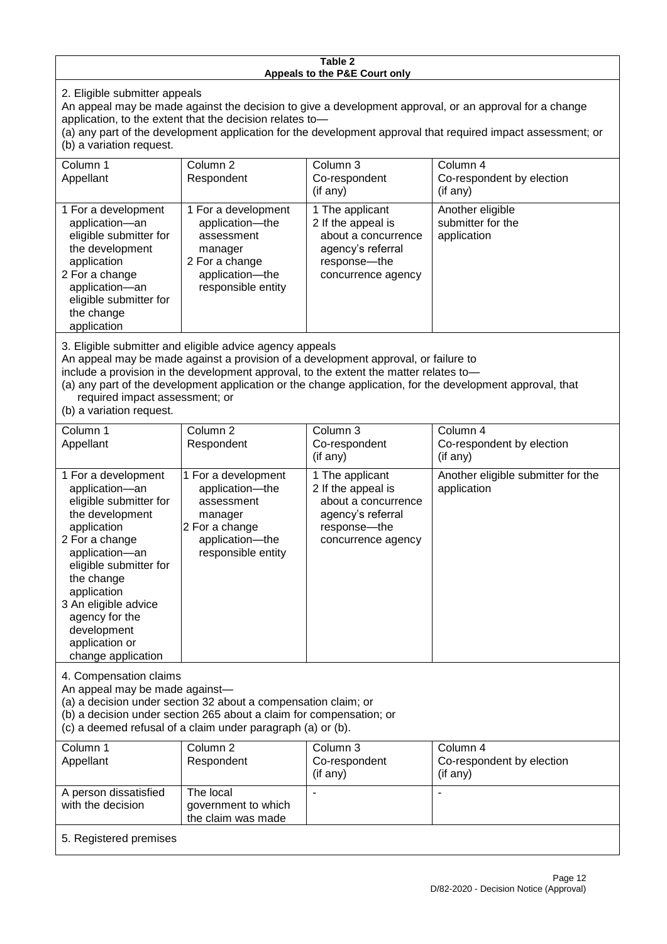#### **Table 2 Appeals to the P&E Court only**

2. Eligible submitter appeals

An appeal may be made against the decision to give a development approval, or an approval for a change application, to the extent that the decision relates to—

(a) any part of the development application for the development approval that required impact assessment; or (b) a variation request.

| Column 1<br>Appellant                                                                                                                                                                                                                                                                                                                                                                                              | Column <sub>2</sub><br>Respondent                                                                                          | Column 3<br>Co-respondent<br>(if any)                                                                                     | Column 4<br>Co-respondent by election<br>(if any)    |  |
|--------------------------------------------------------------------------------------------------------------------------------------------------------------------------------------------------------------------------------------------------------------------------------------------------------------------------------------------------------------------------------------------------------------------|----------------------------------------------------------------------------------------------------------------------------|---------------------------------------------------------------------------------------------------------------------------|------------------------------------------------------|--|
| 1 For a development<br>application-an<br>eligible submitter for<br>the development<br>application<br>2 For a change<br>application-an<br>eligible submitter for<br>the change<br>application                                                                                                                                                                                                                       | 1 For a development<br>application-the<br>assessment<br>manager<br>2 For a change<br>application-the<br>responsible entity | 1 The applicant<br>2 If the appeal is<br>about a concurrence<br>agency's referral<br>response---the<br>concurrence agency | Another eligible<br>submitter for the<br>application |  |
| 3. Eligible submitter and eligible advice agency appeals<br>An appeal may be made against a provision of a development approval, or failure to<br>include a provision in the development approval, to the extent the matter relates to-<br>(a) any part of the development application or the change application, for the development approval, that<br>required impact assessment; or<br>(b) a variation request. |                                                                                                                            |                                                                                                                           |                                                      |  |
| Column 1<br>Appellant                                                                                                                                                                                                                                                                                                                                                                                              | Column 2<br>Respondent                                                                                                     | Column 3<br>Co-respondent                                                                                                 | Column 4<br>Co-respondent by election                |  |

| Appellant                                                                                                                                                                                                                                                                                     | Respondent                                                                                                                 | Co-respondent<br>$($ if any $)$                                                                                           | Co-respondent by election<br>$($ if any $)$       |
|-----------------------------------------------------------------------------------------------------------------------------------------------------------------------------------------------------------------------------------------------------------------------------------------------|----------------------------------------------------------------------------------------------------------------------------|---------------------------------------------------------------------------------------------------------------------------|---------------------------------------------------|
| 1 For a development<br>application-an<br>eligible submitter for<br>the development<br>application<br>2 For a change<br>application-an<br>eligible submitter for<br>the change<br>application<br>3 An eligible advice<br>agency for the<br>development<br>application or<br>change application | 1 For a development<br>application-the<br>assessment<br>manager<br>2 For a change<br>application-the<br>responsible entity | 1 The applicant<br>2 If the appeal is<br>about a concurrence<br>agency's referral<br>response---the<br>concurrence agency | Another eligible submitter for the<br>application |

4. Compensation claims

An appeal may be made against—

(a) a decision under section 32 about a compensation claim; or

(b) a decision under section 265 about a claim for compensation; or

(c) a deemed refusal of a claim under paragraph (a) or (b).

| Column 1                                   | Column 2                                               | Column 3       | Column 4                  |
|--------------------------------------------|--------------------------------------------------------|----------------|---------------------------|
| Appellant                                  | Respondent                                             | Co-respondent  | Co-respondent by election |
|                                            |                                                        | $($ if any $)$ | $($ if any $)$            |
| A person dissatisfied<br>with the decision | The local<br>government to which<br>the claim was made |                |                           |
| 5. Registered premises                     |                                                        |                |                           |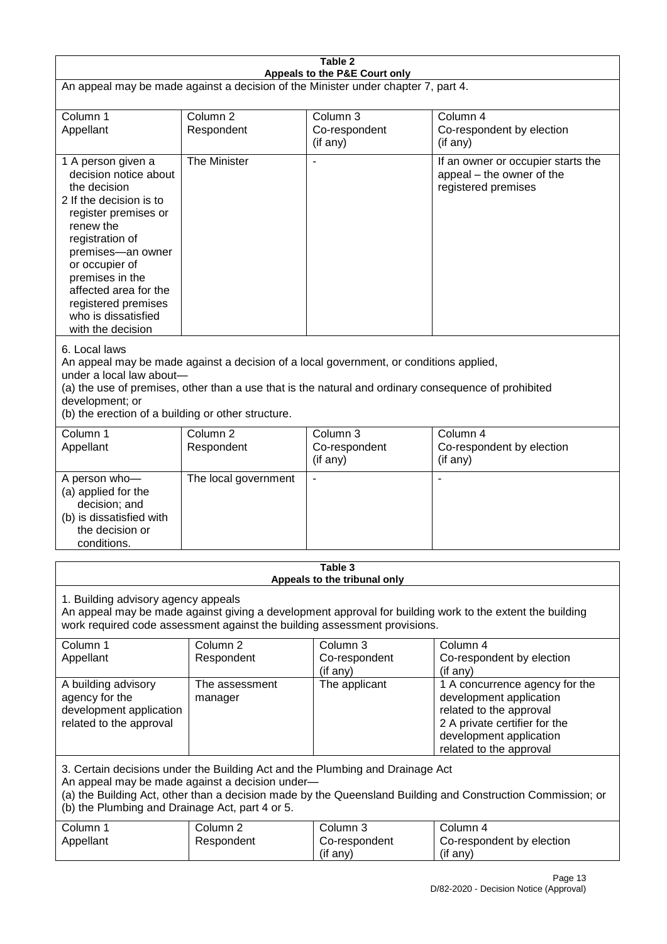|                                                                                                                                                                                                                                                                                                      | Table 2                           |                                                                                                                                                                                                |                                                                                                                                                                             |  |  |
|------------------------------------------------------------------------------------------------------------------------------------------------------------------------------------------------------------------------------------------------------------------------------------------------------|-----------------------------------|------------------------------------------------------------------------------------------------------------------------------------------------------------------------------------------------|-----------------------------------------------------------------------------------------------------------------------------------------------------------------------------|--|--|
| Appeals to the P&E Court only<br>An appeal may be made against a decision of the Minister under chapter 7, part 4.                                                                                                                                                                                   |                                   |                                                                                                                                                                                                |                                                                                                                                                                             |  |  |
| Column 1<br>Appellant                                                                                                                                                                                                                                                                                | Column <sub>2</sub><br>Respondent | Column 3<br>Co-respondent<br>(if any)                                                                                                                                                          | Column 4<br>Co-respondent by election<br>(if any)                                                                                                                           |  |  |
| 1 A person given a<br>decision notice about<br>the decision<br>2 If the decision is to<br>register premises or<br>renew the<br>registration of<br>premises-an owner<br>or occupier of<br>premises in the<br>affected area for the<br>registered premises<br>who is dissatisfied<br>with the decision | The Minister                      | $\overline{\phantom{a}}$                                                                                                                                                                       | If an owner or occupier starts the<br>appeal – the owner of the<br>registered premises                                                                                      |  |  |
| 6. Local laws<br>under a local law about-<br>development; or<br>(b) the erection of a building or other structure.                                                                                                                                                                                   |                                   | An appeal may be made against a decision of a local government, or conditions applied,<br>(a) the use of premises, other than a use that is the natural and ordinary consequence of prohibited |                                                                                                                                                                             |  |  |
| Column 1<br>Appellant                                                                                                                                                                                                                                                                                | Column <sub>2</sub><br>Respondent | Column 3<br>Co-respondent<br>(if any)                                                                                                                                                          | Column 4<br>Co-respondent by election<br>(if any)                                                                                                                           |  |  |
| A person who-<br>(a) applied for the<br>decision; and<br>(b) is dissatisfied with<br>the decision or<br>conditions.                                                                                                                                                                                  | The local government              | $\blacksquare$                                                                                                                                                                                 |                                                                                                                                                                             |  |  |
|                                                                                                                                                                                                                                                                                                      |                                   | Table 3<br>Appeals to the tribunal only                                                                                                                                                        |                                                                                                                                                                             |  |  |
| 1. Building advisory agency appeals<br>An appeal may be made against giving a development approval for building work to the extent the building<br>work required code assessment against the building assessment provisions.                                                                         |                                   |                                                                                                                                                                                                |                                                                                                                                                                             |  |  |
| Column 1<br>Appellant                                                                                                                                                                                                                                                                                | Column <sub>2</sub><br>Respondent | Column <sub>3</sub><br>Co-respondent<br>(if any)                                                                                                                                               | Column 4<br>Co-respondent by election<br>(if any)                                                                                                                           |  |  |
| A building advisory<br>agency for the<br>development application<br>related to the approval                                                                                                                                                                                                          | The assessment<br>manager         | The applicant                                                                                                                                                                                  | 1 A concurrence agency for the<br>development application<br>related to the approval<br>2 A private certifier for the<br>development application<br>related to the approval |  |  |
| 3. Certain decisions under the Building Act and the Plumbing and Drainage Act<br>An appeal may be made against a decision under-<br>(a) the Building Act, other than a decision made by the Queensland Building and Construction Commission; or<br>(b) the Plumbing and Drainage Act, part 4 or 5.   |                                   |                                                                                                                                                                                                |                                                                                                                                                                             |  |  |
| Column 1<br>Appellant                                                                                                                                                                                                                                                                                | Column <sub>2</sub><br>Respondent | Column 3<br>Co-respondent<br>(if any)                                                                                                                                                          | Column 4<br>Co-respondent by election<br>(if any)                                                                                                                           |  |  |